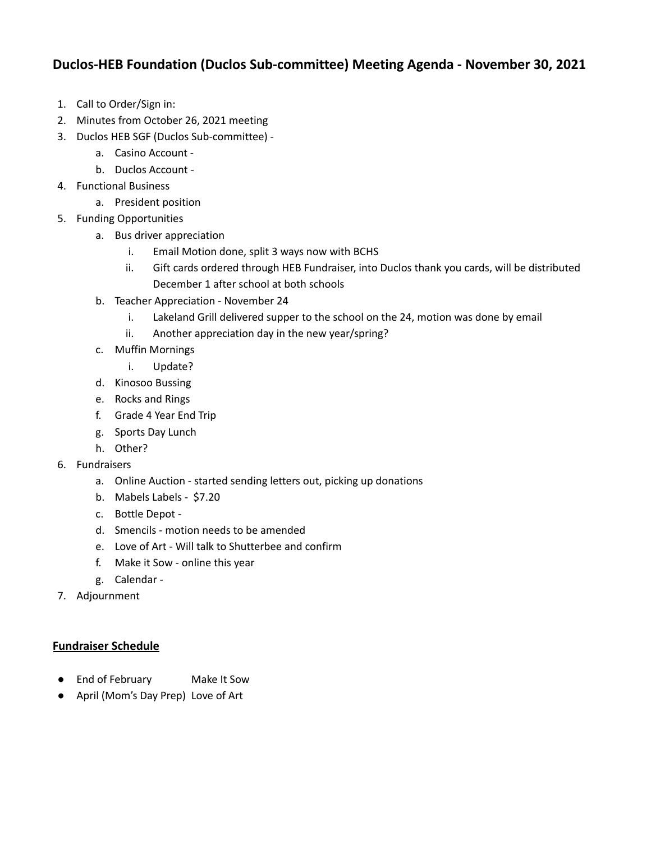## **Duclos-HEB Foundation (Duclos Sub-committee) Meeting Agenda - November 30, 2021**

- 1. Call to Order/Sign in:
- 2. Minutes from October 26, 2021 meeting
- 3. Duclos HEB SGF (Duclos Sub-committee)
	- a. Casino Account -
	- b. Duclos Account -
- 4. Functional Business
	- a. President position
- 5. Funding Opportunities
	- a. Bus driver appreciation
		- i. Email Motion done, split 3 ways now with BCHS
		- ii. Gift cards ordered through HEB Fundraiser, into Duclos thank you cards, will be distributed December 1 after school at both schools
	- b. Teacher Appreciation November 24
		- i. Lakeland Grill delivered supper to the school on the 24, motion was done by email
		- ii. Another appreciation day in the new year/spring?
	- c. Muffin Mornings
		- i. Update?
	- d. Kinosoo Bussing
	- e. Rocks and Rings
	- f. Grade 4 Year End Trip
	- g. Sports Day Lunch
	- h. Other?
- 6. Fundraisers
	- a. Online Auction started sending letters out, picking up donations
	- b. Mabels Labels \$7.20
	- c. Bottle Depot -
	- d. Smencils motion needs to be amended
	- e. Love of Art Will talk to Shutterbee and confirm
	- f. Make it Sow online this year
	- g. Calendar -
- 7. Adjournment

## **Fundraiser Schedule**

- End of February Make It Sow
- April (Mom's Day Prep) Love of Art